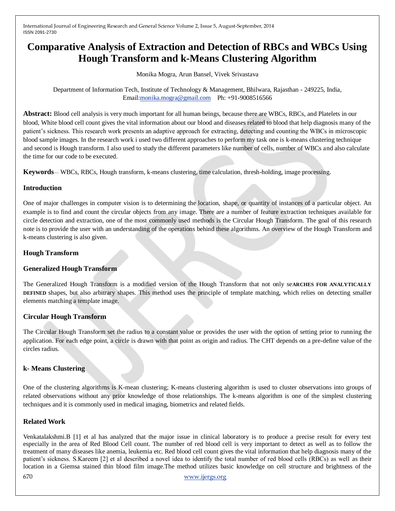# **Comparative Analysis of Extraction and Detection of RBCs and WBCs Using Hough Transform and k-Means Clustering Algorithm**

Monika Mogra, Arun Bansel, Vivek Srivastava

Department of Information Tech, Institute of Technology & Management, Bhilwara, Rajasthan - 249225, India, Email[:monika.mogra@gmail.com](mailto:monika.mogra@gmail.com) Ph: +91-9008516566

**Abstract:** Blood cell analysis is very much important for all human beings, because there are WBCs, RBCs, and Platelets in our blood, White blood cell count gives the vital information about our blood and diseases related to blood that help diagnosis many of the patient's sickness. This research work presents an adaptive approach for extracting, detecting and counting the WBCs in microscopic blood sample images. In the research work i used two different approaches to perform my task one is k-means clustering technique and second is Hough transform. I also used to study the different parameters like number of cells, number of WBCs and also calculate the time for our code to be executed.

**Keywords**— WBCs, RBCs, Hough transform, k-means clustering, time calculation, thresh-holding, image processing.

# **Introduction**

One of major challenges in computer vision is to determining the location, shape, or quantity of instances of a particular object. An example is to find and count the circular objects from any image. There are a number of feature extraction techniques available for circle detection and extraction, one of the most commonly used methods is the Circular Hough Transform. The goal of this research note is to provide the user with an understanding of the operations behind these algorithms. An overview of the Hough Transform and k-means clustering is also given.

## **Hough Transform**

### **Generalized Hough Transform**

The Generalized Hough Transform is a modified version of the Hough Transform that not only se**ARCHES FOR ANALYTICALLY DEFINED** shapes, but also arbitrary shapes. This method uses the principle of template matching, which relies on detecting smaller elements matching a template image.

# **Circular Hough Transform**

The Circular Hough Transform set the radius to a constant value or provides the user with the option of setting prior to running the application. For each edge point, a circle is drawn with that point as origin and radius. The CHT depends on a pre-define value of the circles radius.

# **k- Means Clustering**

One of the clustering algorithms is K-mean clustering; K-means clustering algorithm is used to cluster observations into groups of related observations without any prior knowledge of those relationships. The k-means algorithm is one of the simplest clustering techniques and it is commonly used in medical imaging, biometrics and related fields.

### **Related Work**

Venkatalakshmi.B [1] et al has analyzed that the major issue in clinical laboratory is to produce a precise result for every test especially in the area of Red Blood Cell count. The number of red blood cell is very important to detect as well as to follow the treatment of many diseases like anemia, leukemia etc. Red blood cell count gives the vital information that help diagnosis many of the patient's sickness. S.Kareem [2] et al described a novel idea to identify the total number of red blood cells (RBCs) as well as their location in a Giemsa stained thin blood film image.The method utilizes basic knowledge on cell structure and brightness of the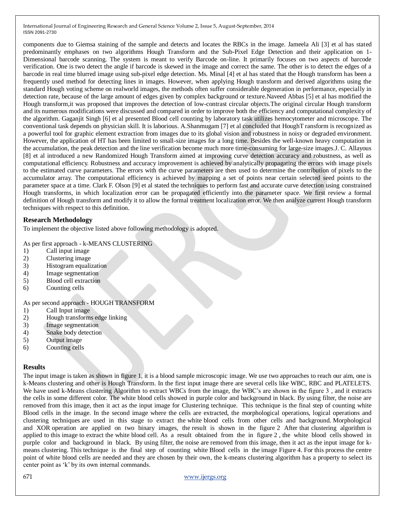components due to Giemsa staining of the sample and detects and locates the RBCs in the image. Jameela Ali [3] et al has stated predominantly emphases on two algorithms Hough Transform and the Sub-Pixel Edge Detection and their application on 1- Dimensional barcode scanning. The system is meant to verify Barcode on-line. It primarily focuses on two aspects of barcode verification. One is two detect the angle if barcode is skewed in the image and correct the same. The other is to detect the edges of a barcode in real time blurred image using sub-pixel edge detection. Ms. Minal [4] et al has stated that the Hough transform has been a frequently used method for detecting lines in images. However, when applying Hough transform and derived algorithms using the standard Hough voting scheme on realworld images, the methods often suffer considerable degeneration in performance, especially in detection rate, because of the large amount of edges given by complex background or texture.Naveed Abbas [5] et al has modified the Hough transform,it was proposed that improves the detection of low-contrast circular objects.The original circular Hough transform and its numerous modifications were discussed and compared in order to improve both the efficiency and computational complexity of the algorithm. Gaganjit Singh [6] et al presented Blood cell counting by laboratory task utilizes hemocytometer and microscope. The conventional task depends on physician skill. It is laborious. A.Shanmugam [7] et al concluded that HoughT ransform is recognized as a powerful tool for graphic element extraction from images due to its global vision and robustness in noisy or degraded environment. However, the application of HT has been limited to small-size images for a long time. Besides the well-known heavy computation in the accumulation, the peak detection and the line verification become much more time-consuming for large-size images.J. C. Allayous [8] et al introduced a new Randomized Hough Transform aimed at improving curve detection accuracy and robustness, as well as computational efficiency. Robustness and accuracy improvement is achieved by analytically propagating the errors with image pixels to the estimated curve parameters. The errors with the curve parameters are then used to determine the contribution of pixels to the accumulator array. The computational efficiency is achieved by mapping a set of points near certain selected seed points to the parameter space at a time. Clark F. Olson [9] et al stated the techniques to perform fast and accurate curve detection using constrained Hough transforms, in which localization error can be propagated efficiently into the parameter space. We first review a formal definition of Hough transform and modify it to allow the formal treatment localization error. We then analyze current Hough transform techniques with respect to this definition.

#### **Research Methodology**

To implement the objective listed above following methodology is adopted.

As per first approach - k-MEANS CLUSTERING

- 1) Call input image
- 2) Clustering image
- 3) Histogram equalization
- 4) Image segmentation
- 5) Blood cell extraction
- 6) Counting cells

As per second approach - HOUGH TRANSFORM

- 1) Call Input image
- 2) Hough transforms edge linking
- 3) Image segmentation
- 4) Snake body detection
- 5) Output image
- 6) Counting cells

#### **Results**

The input image is taken as shown in figure 1, it is a blood sample microscopic image. We use two approaches to reach our aim, one is k-Means clustering and other is Hough Transform. In the first input image there are several cells like WBC, RBC and PLATELETS. We have used k-Means clustering Algorithm to extract WBCs from the image, the WBC's are shown in the figure 3, and it extracts the cells in some different color. The white blood cells showed in purple color and background in black. By using filter, the noise are removed from this image, then it act as the input image for Clustering technique. This technique is the final step of counting white Blood cells in the image. In the second image where the cells are extracted, the morphological operations, logical operations and clustering techniques are used in this stage to extract the white blood cells from other cells and background. Morphological and XOR operation are applied on two binary images, the result is shown in the figure 2 After that clustering algorithm is applied to this image to extract the white blood cell. As a result obtained from the in figure 2 , the white blood cells showed in purple color and background in black. By using filter, the noise are removed from this image, then it act as the input image for kmeans clustering. This technique is the final step of counting white Blood cells in the image Figure 4. For this process the centre point of white blood cells are needed and they are chosen by their own, the k-means clustering algorithm has a property to select its center point as 'k' by its own internal commands.

671 [www.ijergs.org](http://www.ijergs.org/)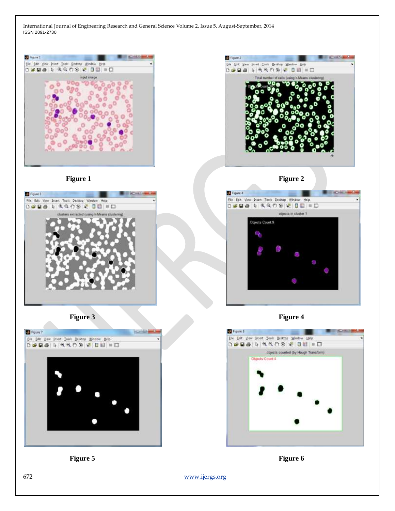

**Figure 1** Figure 2









**Figure 3 Figure 4** 



**Figure 5 Figure 6** 

672 [www.ijergs.org](http://www.ijergs.org/)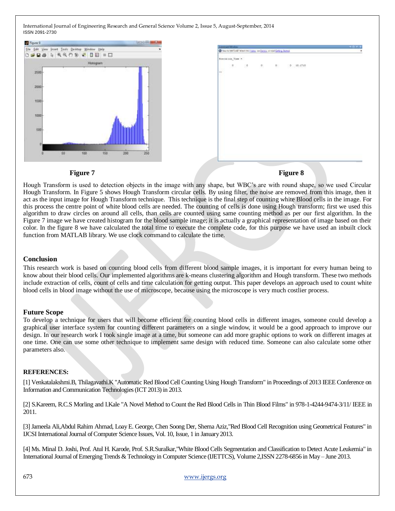| Figure 9                                          |                               | <b>EXCITED</b> |     |                                                                                               |                       |               |               |
|---------------------------------------------------|-------------------------------|----------------|-----|-----------------------------------------------------------------------------------------------|-----------------------|---------------|---------------|
| Edit York Intert Tools Desitop Window Help<br>Ele |                               |                |     | <b><i><u>ARAMANY</u></i></b><br>C Nee to MATLAET Wash the Vista, He Denis, wined Grong Statuk |                       |               | $+0.111$<br>٠ |
| D # B & A 4 4 7 9 4 0 8 = D                       |                               |                |     |                                                                                               |                       |               |               |
|                                                   | Histogram<br>ALC:             |                |     | Freemann Time                                                                                 |                       |               |               |
| 2500                                              |                               |                | Pit | <b>B</b><br>$\sim$                                                                            | $\cdot$<br>$\sim 0.1$ | $D = 10.1741$ |               |
| 2000<br>1500                                      |                               |                |     |                                                                                               |                       |               |               |
| 1000                                              |                               |                |     |                                                                                               |                       |               |               |
| 500                                               |                               |                |     |                                                                                               |                       |               |               |
| 50                                                | $\frac{1}{200}$<br>150<br>100 | 250            |     |                                                                                               |                       |               |               |
| Figure 7                                          |                               |                |     | <b>Figure 8</b>                                                                               |                       |               |               |

Hough Transform is used to detection objects in the image with any shape, but WBC's are with round shape, so we used Circular Hough Transform. In Figure 5 shows Hough Transform circular cells. By using filter, the noise are removed from this image, then it act as the input image for Hough Transform technique. This technique is the final step of counting white Blood cells in the image. For this process the centre point of white blood cells are needed. The counting of cells is done using Hough transform; first we used this algorithm to draw circles on around all cells, than cells are counted using same counting method as per our first algorithm. In the Figure 7 image we have created histogram for the blood sample image; it is actually a graphical representation of image based on their color. In the figure 8 we have calculated the total time to execute the complete code, for this purpose we have used an inbuilt clock function from MATLAB library. We use clock command to calculate the time.

#### **Conclusion**

This research work is based on counting blood cells from different blood sample images, it is important for every human being to know about their blood cells. Our implemented algorithms are k-means clustering algorithm and Hough transform. These two methods include extraction of cells, count of cells and time calculation for getting output. This paper develops an approach used to count white blood cells in blood image without the use of microscope, because using the microscope is very much costlier process.

#### **Future Scope**

To develop a technique for users that will become efficient for counting blood cells in different images, someone could develop a graphical user interface system for counting different parameters on a single window, it would be a good approach to improve our design. In our research work I took single image at a time, but someone can add more graphic options to work on different images at one time. One can use some other technique to implement same design with reduced time. Someone can also calculate some other parameters also.

#### **REFERENCES:**

[1] Venkatalakshmi.B, Thilagavathi.K "Automatic Red Blood Cell Counting Using Hough Transform" in Proceedings of 2013 IEEE Conference on Information and Communication Technologies (ICT 2013) in 2013.

[2] S.Kareem, R.C.S Morling and I.Kale "A Novel Method to Count the Red Blood Cells in Thin Blood Films" in 978-1-4244-9474-3/11/ IEEE in 2011.

[3] Jameela Ali,Abdul Rahim Ahmad, Loay E. George, Chen Soong Der, Sherna Aziz,"Red Blood Cell Recognition using Geometrical Features" in IJCSI International Journal of Computer Science Issues, Vol. 10, Issue, 1 in January 2013.

[4] Ms. Minal D. Joshi, Prof. Atul H. Karode, Prof. S.R.Suralkar,"White Blood Cells Segmentation and Classification to Detect Acute Leukemia" in International Journal of Emerging Trends & Technology in Computer Science (IJETTCS), Volume 2,ISSN 2278-6856 in May – June 2013.